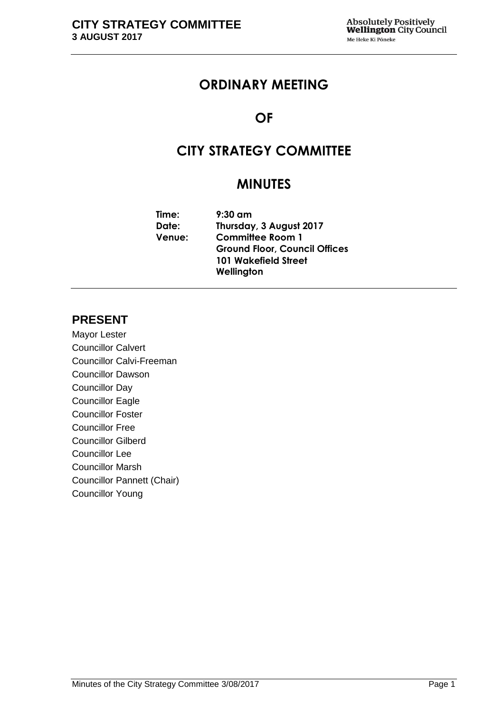# **ORDINARY MEETING**

# **OF**

# **CITY STRATEGY COMMITTEE**

# **MINUTES**

| $9:30$ am                            |
|--------------------------------------|
| Thursday, 3 August 2017              |
| <b>Committee Room 1</b>              |
| <b>Ground Floor, Council Offices</b> |
| <b>101 Wakefield Street</b>          |
| Wellington                           |
|                                      |

# **PRESENT**

Mayor Lester Councillor Calvert Councillor Calvi-Freeman Councillor Dawson Councillor Day Councillor Eagle Councillor Foster Councillor Free Councillor Gilberd Councillor Lee Councillor Marsh Councillor Pannett (Chair) Councillor Young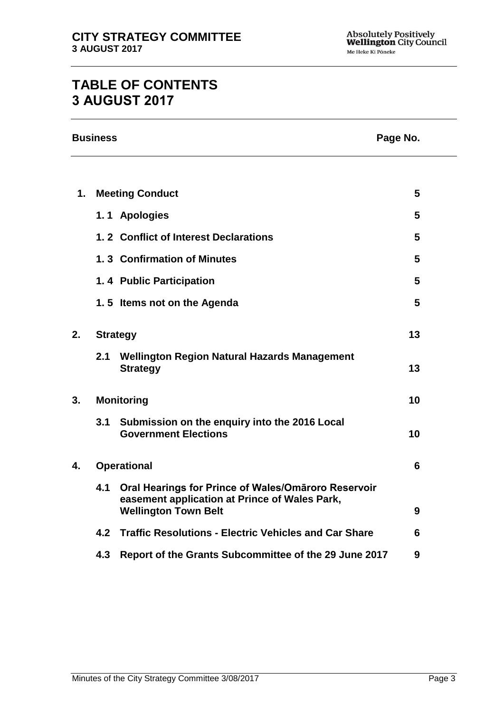# **TABLE OF CONTENTS 3 AUGUST 2017**

|    | <b>Business</b><br>Page No. |                                                                                                                                     |    |  |
|----|-----------------------------|-------------------------------------------------------------------------------------------------------------------------------------|----|--|
|    |                             |                                                                                                                                     |    |  |
| 1. |                             | <b>Meeting Conduct</b>                                                                                                              | 5  |  |
|    |                             | 1.1 Apologies                                                                                                                       | 5  |  |
|    |                             | 1.2 Conflict of Interest Declarations                                                                                               | 5  |  |
|    |                             | 1.3 Confirmation of Minutes                                                                                                         | 5  |  |
|    |                             | 1.4 Public Participation                                                                                                            | 5  |  |
|    |                             | 1.5 Items not on the Agenda                                                                                                         | 5  |  |
| 2. |                             | <b>Strategy</b>                                                                                                                     | 13 |  |
|    | 2.1                         | <b>Wellington Region Natural Hazards Management</b><br><b>Strategy</b>                                                              | 13 |  |
| 3. |                             | <b>Monitoring</b>                                                                                                                   | 10 |  |
|    | 3.1                         | Submission on the enquiry into the 2016 Local<br><b>Government Elections</b>                                                        | 10 |  |
| 4. |                             | <b>Operational</b>                                                                                                                  | 6  |  |
|    | 4.1                         | Oral Hearings for Prince of Wales/Omāroro Reservoir<br>easement application at Prince of Wales Park,<br><b>Wellington Town Belt</b> | 9  |  |
|    | 4.2                         | <b>Traffic Resolutions - Electric Vehicles and Car Share</b>                                                                        | 6  |  |
|    | 4.3                         | Report of the Grants Subcommittee of the 29 June 2017                                                                               | 9  |  |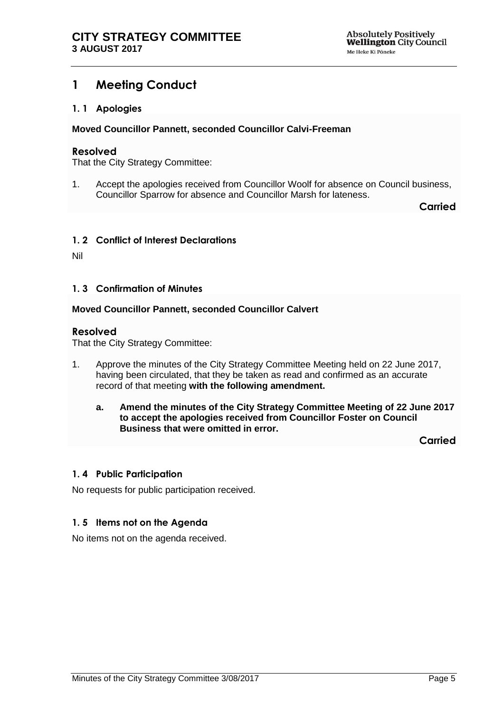# <span id="page-4-0"></span>**1 Meeting Conduct**

### <span id="page-4-1"></span>**1. 1 Apologies**

**Moved Councillor Pannett, seconded Councillor Calvi-Freeman**

#### **Resolved**

That the City Strategy Committee:

1. Accept the apologies received from Councillor Woolf for absence on Council business, Councillor Sparrow for absence and Councillor Marsh for lateness.

**Carried**

### <span id="page-4-2"></span>**1. 2 Conflict of Interest Declarations**

Nil

### <span id="page-4-3"></span>**1. 3 Confirmation of Minutes**

#### **Moved Councillor Pannett, seconded Councillor Calvert**

#### **Resolved**

That the City Strategy Committee:

- 1. Approve the minutes of the City Strategy Committee Meeting held on 22 June 2017, having been circulated, that they be taken as read and confirmed as an accurate record of that meeting **with the following amendment.**
	- **a. Amend the minutes of the City Strategy Committee Meeting of 22 June 2017 to accept the apologies received from Councillor Foster on Council Business that were omitted in error.**

**Carried**

#### <span id="page-4-5"></span>**1. 4 Public Participation**

No requests for public participation received.

### <span id="page-4-4"></span>**1. 5 Items not on the Agenda**

No items not on the agenda received.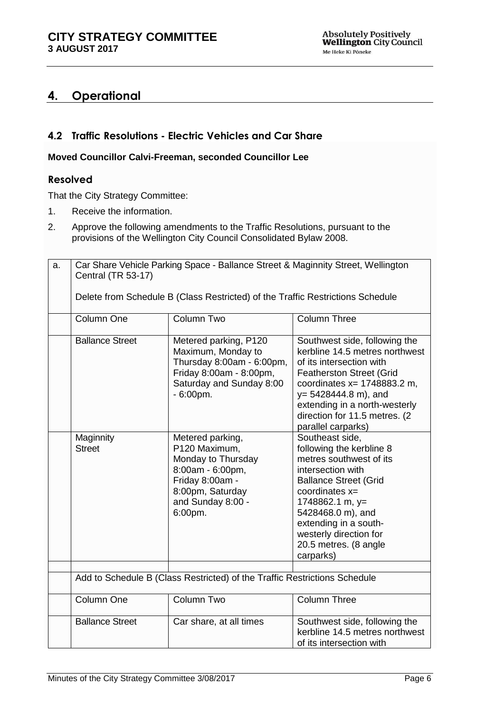# **4. Operational**

## <span id="page-5-0"></span>**4.2 Traffic Resolutions - Electric Vehicles and Car Share**

### **Moved Councillor Calvi-Freeman, seconded Councillor Lee**

### **Resolved**

That the City Strategy Committee:

- 1. Receive the information.
- 2. Approve the following amendments to the Traffic Resolutions, pursuant to the provisions of the Wellington City Council Consolidated Bylaw 2008.

| a. | Car Share Vehicle Parking Space - Ballance Street & Maginnity Street, Wellington<br>Central (TR 53-17) |                                                                                                                                                    |                                                                                                                                                                                                                                                                                   |  |  |
|----|--------------------------------------------------------------------------------------------------------|----------------------------------------------------------------------------------------------------------------------------------------------------|-----------------------------------------------------------------------------------------------------------------------------------------------------------------------------------------------------------------------------------------------------------------------------------|--|--|
|    | Delete from Schedule B (Class Restricted) of the Traffic Restrictions Schedule                         |                                                                                                                                                    |                                                                                                                                                                                                                                                                                   |  |  |
|    | Column One                                                                                             | Column Two                                                                                                                                         | <b>Column Three</b>                                                                                                                                                                                                                                                               |  |  |
|    | <b>Ballance Street</b>                                                                                 | Metered parking, P120<br>Maximum, Monday to<br>Thursday 8:00am - 6:00pm,<br>Friday 8:00am - 8:00pm,<br>Saturday and Sunday 8:00<br>$-6:00pm$ .     | Southwest side, following the<br>kerbline 14.5 metres northwest<br>of its intersection with<br><b>Featherston Street (Grid</b><br>coordinates $x = 1748883.2$ m,<br>y= 5428444.8 m), and<br>extending in a north-westerly<br>direction for 11.5 metres. (2)<br>parallel carparks) |  |  |
|    | Maginnity<br><b>Street</b>                                                                             | Metered parking,<br>P120 Maximum,<br>Monday to Thursday<br>8:00am - 6:00pm,<br>Friday 8:00am -<br>8:00pm, Saturday<br>and Sunday 8:00 -<br>6:00pm. | Southeast side,<br>following the kerbline 8<br>metres southwest of its<br>intersection with<br><b>Ballance Street (Grid</b><br>coordinates $x=$<br>1748862.1 m, y=<br>5428468.0 m), and<br>extending in a south-<br>westerly direction for<br>20.5 metres. (8 angle<br>carparks)  |  |  |
|    | Add to Schedule B (Class Restricted) of the Traffic Restrictions Schedule                              |                                                                                                                                                    |                                                                                                                                                                                                                                                                                   |  |  |
|    | Column One                                                                                             | Column Two                                                                                                                                         | Column Three                                                                                                                                                                                                                                                                      |  |  |
|    | <b>Ballance Street</b>                                                                                 | Car share, at all times                                                                                                                            | Southwest side, following the<br>kerbline 14.5 metres northwest<br>of its intersection with                                                                                                                                                                                       |  |  |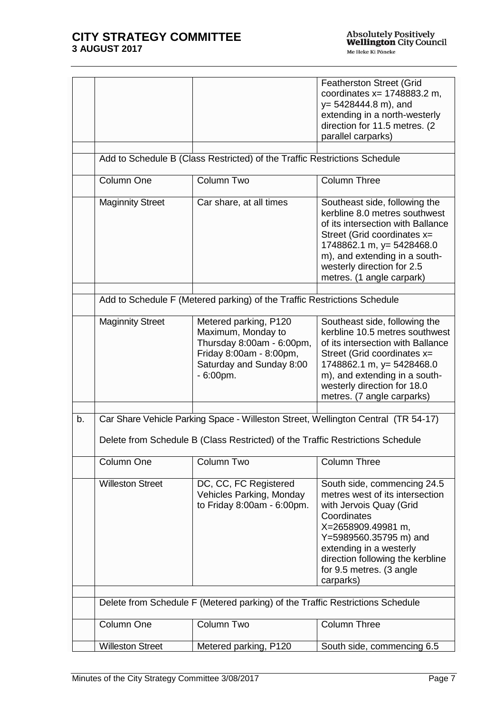|    |                         |                                                                                                                                                                     | <b>Featherston Street (Grid</b><br>coordinates $x = 1748883.2$ m,<br>$y = 5428444.8$ m), and<br>extending in a north-westerly<br>direction for 11.5 metres. (2)<br>parallel carparks)                                                                            |
|----|-------------------------|---------------------------------------------------------------------------------------------------------------------------------------------------------------------|------------------------------------------------------------------------------------------------------------------------------------------------------------------------------------------------------------------------------------------------------------------|
|    |                         | Add to Schedule B (Class Restricted) of the Traffic Restrictions Schedule                                                                                           |                                                                                                                                                                                                                                                                  |
|    | Column One              | Column Two                                                                                                                                                          | <b>Column Three</b>                                                                                                                                                                                                                                              |
|    | <b>Maginnity Street</b> | Car share, at all times                                                                                                                                             | Southeast side, following the<br>kerbline 8.0 metres southwest<br>of its intersection with Ballance<br>Street (Grid coordinates x=<br>1748862.1 m, y= 5428468.0<br>m), and extending in a south-<br>westerly direction for 2.5<br>metres. (1 angle carpark)      |
|    |                         | Add to Schedule F (Metered parking) of the Traffic Restrictions Schedule                                                                                            |                                                                                                                                                                                                                                                                  |
|    | <b>Maginnity Street</b> | Metered parking, P120<br>Maximum, Monday to<br>Thursday 8:00am - 6:00pm,<br>Friday 8:00am - 8:00pm,<br>Saturday and Sunday 8:00<br>$-6:00pm$ .                      | Southeast side, following the<br>kerbline 10.5 metres southwest<br>of its intersection with Ballance<br>Street (Grid coordinates x=<br>1748862.1 m, y= 5428468.0<br>m), and extending in a south-<br>westerly direction for 18.0<br>metres. (7 angle carparks)   |
| b. |                         | Car Share Vehicle Parking Space - Willeston Street, Wellington Central (TR 54-17)<br>Delete from Schedule B (Class Restricted) of the Traffic Restrictions Schedule |                                                                                                                                                                                                                                                                  |
|    | Column One              | Column Two                                                                                                                                                          | <b>Column Three</b>                                                                                                                                                                                                                                              |
|    | <b>Willeston Street</b> | DC, CC, FC Registered<br>Vehicles Parking, Monday<br>to Friday 8:00am - 6:00pm.                                                                                     | South side, commencing 24.5<br>metres west of its intersection<br>with Jervois Quay (Grid<br>Coordinates<br>X=2658909.49981 m,<br>Y=5989560.35795 m) and<br>extending in a westerly<br>direction following the kerbline<br>for 9.5 metres. (3 angle<br>carparks) |
|    |                         | Delete from Schedule F (Metered parking) of the Traffic Restrictions Schedule                                                                                       |                                                                                                                                                                                                                                                                  |
|    | Column One              | <b>Column Two</b>                                                                                                                                                   | <b>Column Three</b>                                                                                                                                                                                                                                              |
|    | <b>Willeston Street</b> | Metered parking, P120                                                                                                                                               | South side, commencing 6.5                                                                                                                                                                                                                                       |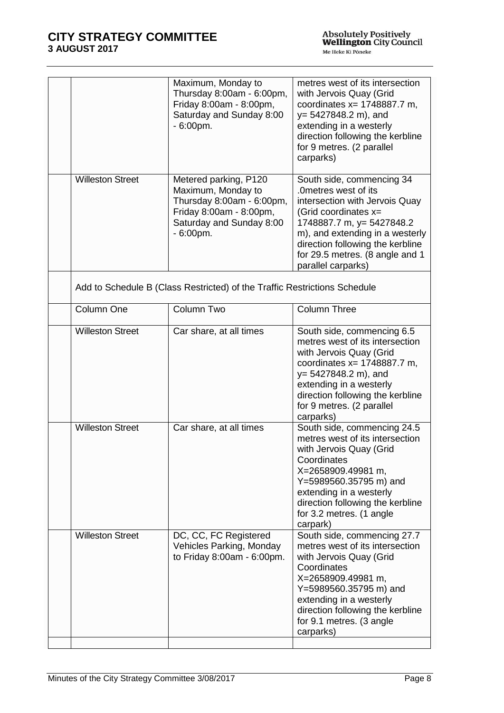|                         | Maximum, Monday to<br>Thursday 8:00am - 6:00pm,<br>Friday 8:00am - 8:00pm,<br>Saturday and Sunday 8:00<br>$-6:00pm$ .                          | metres west of its intersection<br>with Jervois Quay (Grid<br>coordinates $x = 1748887.7$ m,<br>y= 5427848.2 m), and<br>extending in a westerly<br>direction following the kerbline<br>for 9 metres. (2 parallel<br>carparks)                                              |
|-------------------------|------------------------------------------------------------------------------------------------------------------------------------------------|----------------------------------------------------------------------------------------------------------------------------------------------------------------------------------------------------------------------------------------------------------------------------|
| <b>Willeston Street</b> | Metered parking, P120<br>Maximum, Monday to<br>Thursday 8:00am - 6:00pm,<br>Friday 8:00am - 8:00pm,<br>Saturday and Sunday 8:00<br>$-6:00$ pm. | South side, commencing 34<br>.0metres west of its<br>intersection with Jervois Quay<br>(Grid coordinates $x=$<br>1748887.7 m, y= 5427848.2<br>m), and extending in a westerly<br>direction following the kerbline<br>for 29.5 metres. (8 angle and 1<br>parallel carparks) |
|                         | Add to Schedule B (Class Restricted) of the Traffic Restrictions Schedule                                                                      |                                                                                                                                                                                                                                                                            |
| Column One              | Column Two                                                                                                                                     | <b>Column Three</b>                                                                                                                                                                                                                                                        |
| <b>Willeston Street</b> | Car share, at all times                                                                                                                        | South side, commencing 6.5<br>metres west of its intersection<br>with Jervois Quay (Grid<br>coordinates $x = 1748887.7$ m,<br>$y = 5427848.2$ m), and<br>extending in a westerly<br>direction following the kerbline<br>for 9 metres. (2 parallel<br>carparks)             |
| <b>Willeston Street</b> | Car share, at all times                                                                                                                        | South side, commencing 24.5<br>metres west of its intersection<br>with Jervois Quay (Grid<br>Coordinates<br>X=2658909.49981 m,<br>Y=5989560.35795 m) and<br>extending in a westerly<br>direction following the kerbline<br>for 3.2 metres. (1 angle<br>carpark)            |
| <b>Willeston Street</b> | DC, CC, FC Registered<br>Vehicles Parking, Monday<br>to Friday 8:00am - 6:00pm.                                                                | South side, commencing 27.7<br>metres west of its intersection<br>with Jervois Quay (Grid<br>Coordinates<br>X=2658909.49981 m,<br>Y=5989560.35795 m) and<br>extending in a westerly<br>direction following the kerbline<br>for 9.1 metres. (3 angle<br>carparks)           |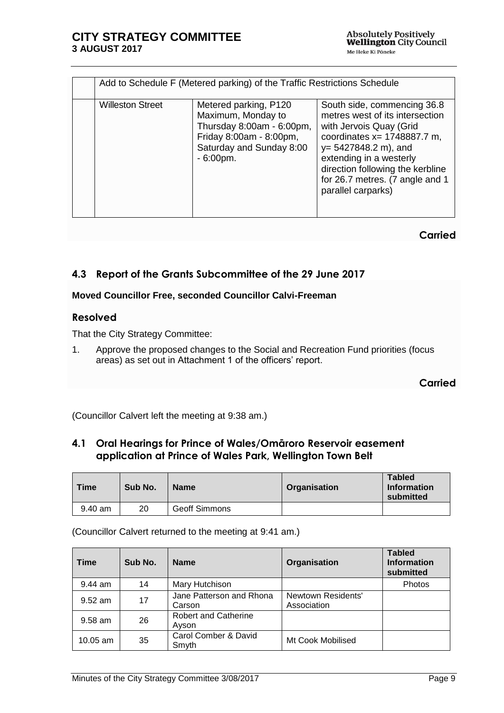|                         | Add to Schedule F (Metered parking) of the Traffic Restrictions Schedule                                                                       |                                                                                                                                                                                                                                                                                |  |  |  |  |
|-------------------------|------------------------------------------------------------------------------------------------------------------------------------------------|--------------------------------------------------------------------------------------------------------------------------------------------------------------------------------------------------------------------------------------------------------------------------------|--|--|--|--|
| <b>Willeston Street</b> | Metered parking, P120<br>Maximum, Monday to<br>Thursday 8:00am - 6:00pm,<br>Friday 8:00am - 8:00pm,<br>Saturday and Sunday 8:00<br>$-6:00pm$ . | South side, commencing 36.8<br>metres west of its intersection<br>with Jervois Quay (Grid<br>coordinates $x = 1748887.7$ m,<br>$y = 5427848.2$ m), and<br>extending in a westerly<br>direction following the kerbline<br>for 26.7 metres. (7 angle and 1<br>parallel carparks) |  |  |  |  |

### **Carried**

# <span id="page-8-1"></span>**4.3 Report of the Grants Subcommittee of the 29 June 2017**

### **Moved Councillor Free, seconded Councillor Calvi-Freeman**

### **Resolved**

That the City Strategy Committee:

1. Approve the proposed changes to the Social and Recreation Fund priorities (focus areas) as set out in Attachment 1 of the officers' report.

**Carried**

(Councillor Calvert left the meeting at 9:38 am.)

# <span id="page-8-0"></span>**4.1 Oral Hearings for Prince of Wales/Omāroro Reservoir easement application at Prince of Wales Park, Wellington Town Belt**

| <b>Time</b> | Sub No. | <b>Name</b>          | Organisation | <b>Tabled</b><br><b>Information</b><br>submitted |
|-------------|---------|----------------------|--------------|--------------------------------------------------|
| $9.40$ am   | 20      | <b>Geoff Simmons</b> |              |                                                  |

(Councillor Calvert returned to the meeting at 9:41 am.)

| <b>Time</b> | Sub No. | <b>Name</b>                          | Organisation                      | <b>Tabled</b><br><b>Information</b><br>submitted |
|-------------|---------|--------------------------------------|-----------------------------------|--------------------------------------------------|
| $9.44$ am   | 14      | Mary Hutchison                       |                                   | Photos                                           |
| $9.52$ am   | 17      | Jane Patterson and Rhona<br>Carson   | Newtown Residents'<br>Association |                                                  |
| $9.58$ am   | 26      | <b>Robert and Catherine</b><br>Ayson |                                   |                                                  |
| $10.05$ am  | 35      | Carol Comber & David<br>Smyth        | Mt Cook Mobilised                 |                                                  |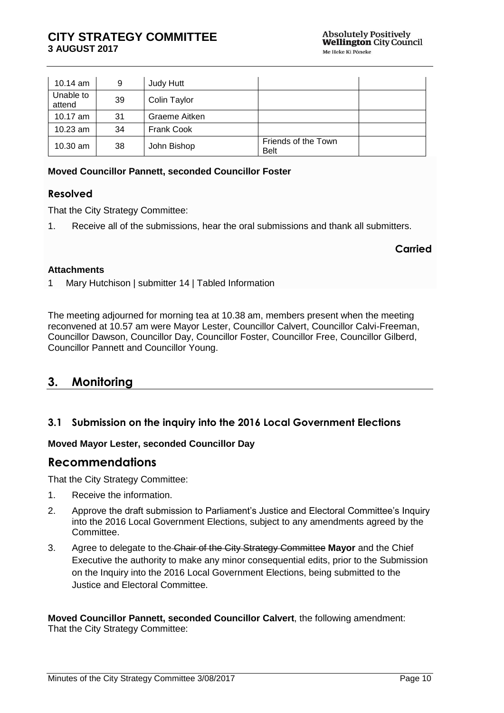| 10.14 $am$          | 9  | Judy Hutt         |                                    |  |
|---------------------|----|-------------------|------------------------------------|--|
| Unable to<br>attend | 39 | Colin Taylor      |                                    |  |
| 10.17 $am$          | 31 | Graeme Aitken     |                                    |  |
| $10.23$ am          | 34 | <b>Frank Cook</b> |                                    |  |
| $10.30$ am          | 38 | John Bishop       | Friends of the Town<br><b>Belt</b> |  |

### **Moved Councillor Pannett, seconded Councillor Foster**

### **Resolved**

That the City Strategy Committee:

1. Receive all of the submissions, hear the oral submissions and thank all submitters.

#### **Carried**

#### **Attachments**

1 Mary Hutchison | submitter 14 | Tabled Information

The meeting adjourned for morning tea at 10.38 am, members present when the meeting reconvened at 10.57 am were Mayor Lester, Councillor Calvert, Councillor Calvi-Freeman, Councillor Dawson, Councillor Day, Councillor Foster, Councillor Free, Councillor Gilberd, Councillor Pannett and Councillor Young.

# <span id="page-9-0"></span>**3. Monitoring**

## **3.1 Submission on the inquiry into the 2016 Local Government Elections**

### **Moved Mayor Lester, seconded Councillor Day**

## **Recommendations**

That the City Strategy Committee:

- 1. Receive the information.
- 2. Approve the draft submission to Parliament's Justice and Electoral Committee's Inquiry into the 2016 Local Government Elections, subject to any amendments agreed by the Committee.
- 3. Agree to delegate to the Chair of the City Strategy Committee **Mayor** and the Chief Executive the authority to make any minor consequential edits, prior to the Submission on the Inquiry into the 2016 Local Government Elections, being submitted to the Justice and Electoral Committee.

**Moved Councillor Pannett, seconded Councillor Calvert**, the following amendment: That the City Strategy Committee: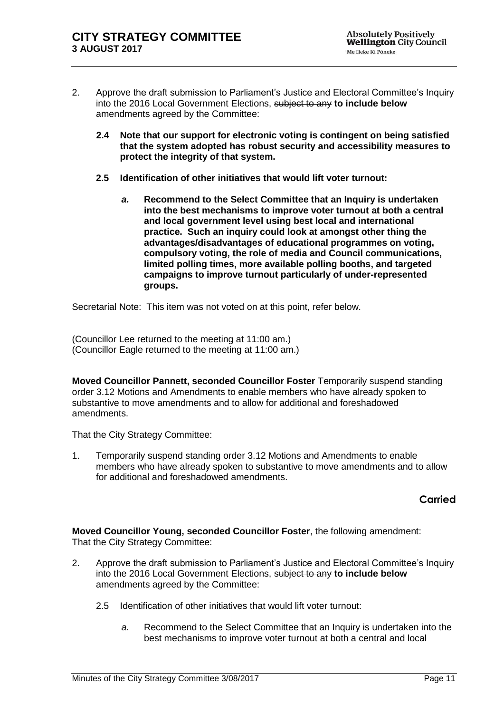- 2. Approve the draft submission to Parliament's Justice and Electoral Committee's Inquiry into the 2016 Local Government Elections, subject to any **to include below**  amendments agreed by the Committee:
	- **2.4 Note that our support for electronic voting is contingent on being satisfied that the system adopted has robust security and accessibility measures to protect the integrity of that system.**
	- **2.5 Identification of other initiatives that would lift voter turnout:**
		- *a.* **Recommend to the Select Committee that an Inquiry is undertaken into the best mechanisms to improve voter turnout at both a central and local government level using best local and international practice. Such an inquiry could look at amongst other thing the advantages/disadvantages of educational programmes on voting, compulsory voting, the role of media and Council communications, limited polling times, more available polling booths, and targeted campaigns to improve turnout particularly of under-represented groups.**

Secretarial Note: This item was not voted on at this point, refer below.

(Councillor Lee returned to the meeting at 11:00 am.) (Councillor Eagle returned to the meeting at 11:00 am.)

**Moved Councillor Pannett, seconded Councillor Foster** Temporarily suspend standing order 3.12 Motions and Amendments to enable members who have already spoken to substantive to move amendments and to allow for additional and foreshadowed amendments.

That the City Strategy Committee:

1. Temporarily suspend standing order 3.12 Motions and Amendments to enable members who have already spoken to substantive to move amendments and to allow for additional and foreshadowed amendments.

# **Carried**

**Moved Councillor Young, seconded Councillor Foster**, the following amendment: That the City Strategy Committee:

- 2. Approve the draft submission to Parliament's Justice and Electoral Committee's Inquiry into the 2016 Local Government Elections, subject to any **to include below**  amendments agreed by the Committee:
	- 2.5 Identification of other initiatives that would lift voter turnout:
		- *a.* Recommend to the Select Committee that an Inquiry is undertaken into the best mechanisms to improve voter turnout at both a central and local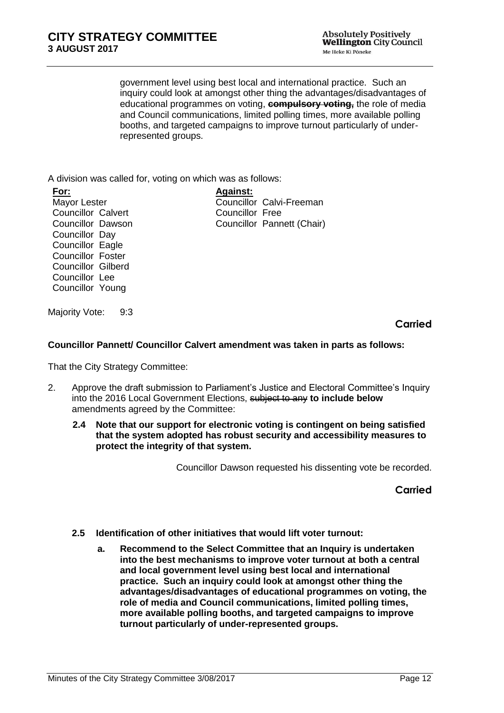government level using best local and international practice. Such an inquiry could look at amongst other thing the advantages/disadvantages of educational programmes on voting, **compulsory voting,** the role of media and Council communications, limited polling times, more available polling booths, and targeted campaigns to improve turnout particularly of underrepresented groups.

A division was called for, voting on which was as follows:

**For:** Mayor Lester Councillor Calvert Councillor Dawson Councillor Day Councillor Eagle Councillor Foster Councillor Gilberd Councillor Lee Councillor Young

**Against:** Councillor Calvi-Freeman Councillor Free Councillor Pannett (Chair)

Majority Vote: 9:3

**Carried**

### **Councillor Pannett/ Councillor Calvert amendment was taken in parts as follows:**

That the City Strategy Committee:

- 2. Approve the draft submission to Parliament's Justice and Electoral Committee's Inquiry into the 2016 Local Government Elections, subject to any **to include below**  amendments agreed by the Committee:
	- **2.4 Note that our support for electronic voting is contingent on being satisfied that the system adopted has robust security and accessibility measures to protect the integrity of that system.**

Councillor Dawson requested his dissenting vote be recorded.

**Carried**

- **2.5 Identification of other initiatives that would lift voter turnout:**
	- **a. Recommend to the Select Committee that an Inquiry is undertaken into the best mechanisms to improve voter turnout at both a central and local government level using best local and international practice. Such an inquiry could look at amongst other thing the advantages/disadvantages of educational programmes on voting, the role of media and Council communications, limited polling times, more available polling booths, and targeted campaigns to improve turnout particularly of under-represented groups.**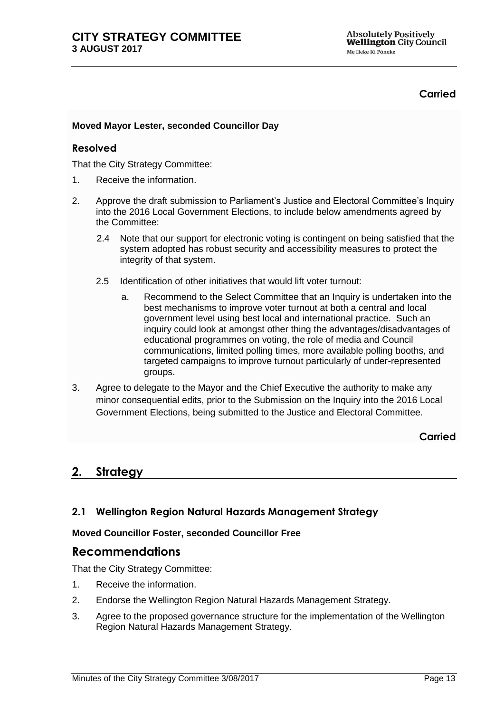## **Carried**

## **Moved Mayor Lester, seconded Councillor Day**

### **Resolved**

That the City Strategy Committee:

- 1. Receive the information.
- 2. Approve the draft submission to Parliament's Justice and Electoral Committee's Inquiry into the 2016 Local Government Elections, to include below amendments agreed by the Committee:
	- 2.4 Note that our support for electronic voting is contingent on being satisfied that the system adopted has robust security and accessibility measures to protect the integrity of that system.
	- 2.5 Identification of other initiatives that would lift voter turnout:
		- a. Recommend to the Select Committee that an Inquiry is undertaken into the best mechanisms to improve voter turnout at both a central and local government level using best local and international practice. Such an inquiry could look at amongst other thing the advantages/disadvantages of educational programmes on voting, the role of media and Council communications, limited polling times, more available polling booths, and targeted campaigns to improve turnout particularly of under-represented groups.
- 3. Agree to delegate to the Mayor and the Chief Executive the authority to make any minor consequential edits, prior to the Submission on the Inquiry into the 2016 Local Government Elections, being submitted to the Justice and Electoral Committee.

**Carried**

# **2. Strategy**

## <span id="page-12-0"></span>**2.1 Wellington Region Natural Hazards Management Strategy**

### **Moved Councillor Foster, seconded Councillor Free**

# **Recommendations**

That the City Strategy Committee:

- 1. Receive the information.
- 2. Endorse the Wellington Region Natural Hazards Management Strategy.
- 3. Agree to the proposed governance structure for the implementation of the Wellington Region Natural Hazards Management Strategy.